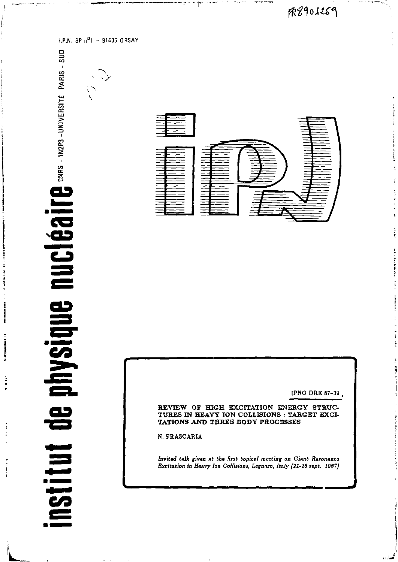$R901269$ 

to comprehense in

فسارود

 $\mathbf{null}\mathbf{Cl}\mathbf{G}\mathbf{Id}$  if  $\mathbf{e}$  ans - inzpa - université paris - sup de physique institut

**COMPANY OF STREET** 

**Manager** 

**The Second Property** 

ē

**I.P.N. BP n°l - 91406 ORSAY** 

*• /* 

 $\sum_{i=1}^{n}$ 



**IPNO DRE 87-39 .** 

**REVIEW OF HIGH EXCITATION ENERGY STRUC-TURES IN HEAVY ION COLLISIONS : TARGET EXCI-TATIONS AND THREE BODY PROCESSES** 

**N. FRASCARIA** 

*Invited talk given nt the* **first** *topical meeting on Giant Resonance Excitation in Heavy Ion Collisions, Legnaro, Italy (21-25 sept. 1987]*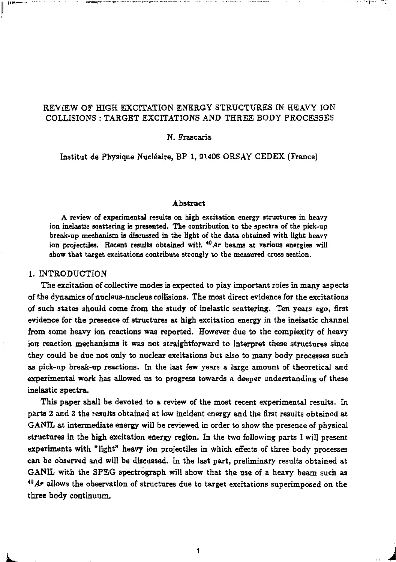## **REVIEW OF HIGH EXCITATION ENERGY STRUCTURES IN HEAVY ION COLLISIONS : TARGET EXCITATIONS AND THREE BODY PROCESSES**

### **N. Frascaria**

**Institut de Physique Nucléaire, BP 1, 91406 ORSAY CEDEX (France)** 

#### **Abstract**

**A review of experimental results on high excitation energy structures in heavy ion inelastic scattering is presented. The contribution to the spectra of the pick-up break-up mechanism is discussed in the light of the data obtained with light heavy ion projectiles. Recent results obtained with** *^Ar* **beams at various energies will show that target excitations contribute strongly to the measured cross section.** 

### **1. INTRODUCTION**

**The excitation of collective modes is expected to play important roles in many aspects of the dynamics of nucleus-nucleus collisions. The most direct evidence for the excitations of such states should come from the study of inelastic scattering. Ten years ago, first evidence for the presence of structures at high excitation energy in the inelastic channel from some heavy ion reactions was reported. However due to the complexity of heavy ion reaction mechanisms it was not straightforward to interpret these structures since they could be due not only to nuclear excitations but also to many body processes such as pick-up break-up reactions. In the last few years a large amount of theoretical and experimental work has allowed us to progress towards a deeper understanding of these inelastic spectra.** 

**This paper shall be devoted to a review of the most recent experimental results. In parts 2 and 3 the results obtained at low incident energy and the first results obtained at GANIL at intermediate energy will be reviewed in order to show the presence of physical structures in the high excitation energy region. In the two following parts I will present experiments with "light" heavy ion projectiles in which effects of three body processes can be observed and will be discussed. In the last part, preliminary results obtained at GANIL with the SPEG spectrograph will show that the use of a heavy beam such as**  *<sup>m</sup>Ar* **allows the observation of structures due to target excitations superimposed on the three body continuum.** 

**L 1 J**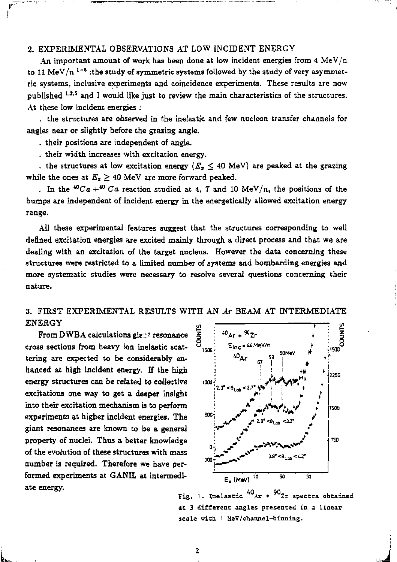# **2. EXPERIMENTAL OBSERVATIONS AT LOW INCIDENT ENERGY**

**An important amount of work has been done at low incident energies from 4 MeV/n**  to 11 MeV/n <sup>1–6</sup> :the study of symmetric systems followed by the study of very asymmet**ric systems, inclusive experiments and coincidence experiments. These results are now published 1,2, s and I would like just to review the main characteristics of the structures. At these low incident energies :** 

**. the structures are observed in the inelastic and few nucléon transfer channels for angles near or slightly before the grazing angle.** 

**. their positions are independent of angle.** 

**. their width increases with excitation energy.** 

. the structures at low excitation energy  $(E_x \leq 40 \text{ MeV})$  are peaked at the grazing while the ones at  $E_z \geq 40$  MeV are more forward peaked.

. In the  ${}^{40}Ca + {}^{40}Ca$  reaction studied at 4, 7 and 10 MeV/n, the positions of the **bumps are independent of incident energy in the energetically allowed excitation energy range.** 

**All these experimental features suggest that the structures corresponding to well defined excitation energies are excited mainly through a direct process and that we are dealing with an excitation of the target nucleus. However the data concerning these structures were restricted to a limited number of systems and bombarding energies and more systematic studies were necessary to resolve several questions concerning their nature.** 

## **3. FIRST EXPERIMENTAL RESULTS WITH AN** *Ar* **BEAM AT INTERMEDIATE ENERGY**

**From DWBA calculations gie:: ' resonance cross sections from heavy ion inelastic scattering are expected to be considerably enhanced at high incident energy. If the high energy structures can be related to collective excitations one way to get a deeper insight into their excitation mechanism is to perform experiments at higher incident energies. The giant resonances are known to be a general property of nuclei. Thus a better knowledge of the evolution of these structures with mass number is required. Therefore we have performed experiments at GANIL at intermediate energy.** 



**Fig 40, 90, 1. Inelastic** *""Ar \* ""Zz* **spectra obtained at 3 different angles presented in a linear scale with 1 XeV/channel-binning.**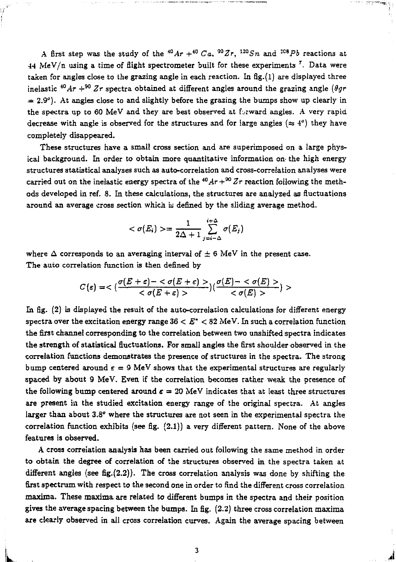A first step was the study of the  $^{40}Ar + ^{40}Ca$ ,  $^{90}Zr$ ,  $^{120}Sn$  and  $^{208}Pb$  reactions a  $44$  MeV/n using a time of flight spectrometer built for these experiments '. Data were taken for angles close to the grazing angle in each reaction. In fig.(l) are displayed three inelastic <sup>40</sup>*Ar* +<sup>90</sup> *Zr* spectra obtained at different angles around the grazing angle (*0gr*  $= 2.9^{\circ}$ ). At angles close to and slightly before the grazing the bumps show up clearly in the spectra up to 60 MeV and they are best observed at forward angles. A very rapid decrease with angle is observed for the structures and for large angles ( $\approx 4^{\circ}$ ) they have completely disappeared.

These structures have a small cross section and are superimposed on a large physical background. In order to obtain more quantitative information on the high energy structures statistical analyses such as auto-correlation and cross-correlation analyses were carried out on the inelastic energy spectra of the  $^{40}Ar + ^{\infty}Zr$  reaction following the methods developed in ref. 8. In these calculations, the structures are analyzed as fluctuations around an average cross section which is defined by the sliding average method.

$$
\langle \sigma(E_i) \rangle = \frac{1}{2\Delta + 1} \sum_{j=i-\Delta}^{i+\Delta} \sigma(E_j)
$$

where  $\Delta$  corresponds to an averaging interval of  $\pm$  6 MeV in the present case. The auto correlation function is then defined by

$$
C(\varepsilon)=<\frac{\sigma(E+\varepsilon)-<\sigma(E+\varepsilon)>}{<\sigma(E+\varepsilon)>})(\frac{\sigma(E)-<\sigma(E)>}{<\sigma(E)>})>
$$

In fig. (2) is displayed the result of the auto-correlation calculations for différent energy spectra over the excitation energy range 36 < *E" <* 82 MeV. In such a correlation function the first channel corresponding to the correlation between two unshifted spectra indicates the strength of statistical fluctuations. For small angles the first shoulder observed in the correlation functions demonstrates the presence of structures in the spectra. The strong bump centered around  $\varepsilon = 9$  MeV shows that the experimental structures are regularly spaced by about 9 MeV. Even if the correlation becomes rather weak the presence of the following bump centered around  $\varepsilon = 20$  MeV indicates that at least three structures are present in the studied excitation energy range of the original spectra. At angles larger than about 3.8° where the structures are not seen in the experimental spectra the correlation function exhibits (see fig. (2.1)) a very different pattern. None of the above features is observed.

A cross correlation analysis has been carried out following the same method in order to obtain the degree of correlation of the structures observed in the spectra taken at different angles (see fig.(2.2)). The cross correlation analysis was done by shifting the first spectrum with respect to the second one in order to find the different cross correlation maxima. These maxima are related to different bumps in the spectra and their position gives the average spacing between the bumps. In fig. (2.2) three cross correlation maxima are clearly observed in all cross correlation curves. Again the average spacing between

**L <sup>3</sup>***A*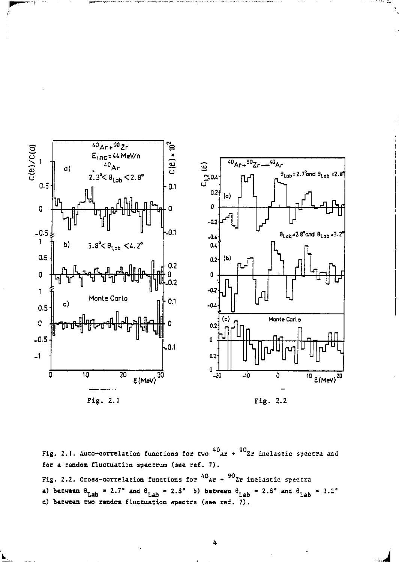

Fig. 2.1. Auto-correlation functions for two  $^{40}$ Ar +  $^{90}$ Zr inelastic spectra and for a random fluctuation spectrum (see ref. 7) . Fig. 2.2. Cross-correlation functions for  $^{40}$ Ar +  $^{90}$ Zr inelastic spectra **a)** between  $\theta_{Lab} = 2.7^{\circ}$  and  $\theta_{Lab} = 2.8^{\circ}$  b) between  $\theta_{Lab} = 2.8^{\circ}$  and  $\theta_{Lab} = 3.2^{\circ}$ c) between two random fluctuation spectra (see ref. 7).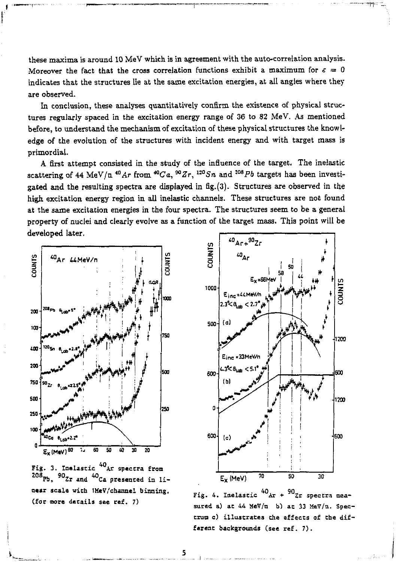these maxima is around 10 MeV which is in agreement with the auto-correlation analysis. Moreover the fact that the cross correlation functions exhibit a maximum for  $\varepsilon = 0$ indicates that the structures lie at the same excitation energies, at all angles where they are observed.

In conclusion, these analyses quantitatively confirm the existence of physical structures regularly spaced in the excitation energy range of 36 to 82 MeV. As mentioned before, to understand the mechanism of excitation of these physical structures the knowledge of the evolution of the structures with incident energy and with target mass is primordial.

A first attempt consisted in the study of the influence of the target. The inelastic scattering of 44 MeV/n <sup>40</sup> Ar from <sup>40</sup> Ca, <sup>90</sup> Zr, <sup>120</sup> Sn and <sup>208</sup> Pb targets has been investigated and the resulting spectra are displayed in  $fig.(3)$ . Structures are observed in the high excitation energy region in all inelastic channels. These structures are not found at the same excitation energies in the four spectra. The structures seem to be a general property of nuclei and clearly evolve as a function of the target mass. This point will be developed later.



Fig. 3. Inelastic <sup>40</sup>Ar spectra from  $90$ Zr and  $40$ Ca oresented in linear scale with 1MeV/channel binning. (for more details see ref. 7)



Fig. 4. Inelastic  $^{40}$ Ar +  $^{90}$ Zr spectra measured a) at 44 MeV/ $(n - b)$  at 33 MeV/ $n$ . Spectrum c) illustrates the effects of the different backgrounds (see ref. 7).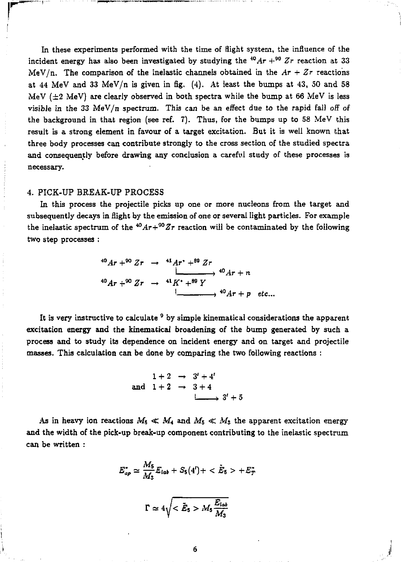In these experiments performed with the time of flight system, the influence of the incident energy has also been investigated by studying the <sup>40</sup>*Ar* +<sup>90</sup>  $Zr$  reaction at 33 MeV/n. The comparison of the inelastic channels obtained in the  $Ar + Zr$  reactions at 44 MeV and 33 MeV/n is given in fig.  $(4)$ . At least the bumps at 43, 50 and 58 MeV ( $\pm 2$  MeV) are clearly observed in both spectra while the bump at 66 MeV is less visible in the 33 MeV/n spectrum. This can be an effect due to the rapid fall off of the background in that region (see réf. T). Thus, for the bumps up to 58 MeV this result is a strong element in favour of a target excitation. But it is well known that three body processes can contribute strongly to the cross section of the studied spectra and consequently before drawing any conclusion a careful study of these processes is necessary.

### 4. PICK-UP BREAK-UP PROCESS

In this process the projectile picks up one or more nucléons from the target and subsequently decays in flight by the emission of one or several light particles. For example the inelastic spectrum of the  $^{40}Ar+^{90}Zr$  reaction will be contaminated by the following two step processes :

$$
{}^{40}Ar + {}^{90}Zr \rightarrow {}^{41}Ar + {}^{49}Zr
$$
  

$$
{}^{40}Ar + {}^{90}Zr \rightarrow {}^{41}K^* + {}^{89}Y
$$
  

$$
{}^{1}
$$
  

$$
{}^{40}Ar + p \text{ etc...}
$$

It is very instructive to calculate <sup>9</sup> by simple kinematical considerations the apparent excitation energy and the kinematical broadening of the bump generated by such a process and to study its dependence on incident energy and on target and projectile masses. This calculation can be done by comparing the two following reactions :

$$
1+2 \rightarrow 3'+4'
$$
  
and 
$$
1+2 \rightarrow 3+4
$$
  

$$
\downarrow \longrightarrow 3'+5
$$

As in heavy ion reactions  $M_5 \ll M_4$  and  $M_5 \ll M_3$  the apparent excitation energy and the width of the pick-up break-up component contributing to the inelastic spectrum can be written :

$$
E_{ap}^* \simeq \frac{M_5}{M_3} E_{lab} + S_5(4') + \langle \tilde{E}_5 \rangle + E_T^*
$$
  

$$
\Gamma \simeq 4\sqrt{\langle \tilde{E}_5 \rangle M_5 \frac{E_{lab}}{M_3}}
$$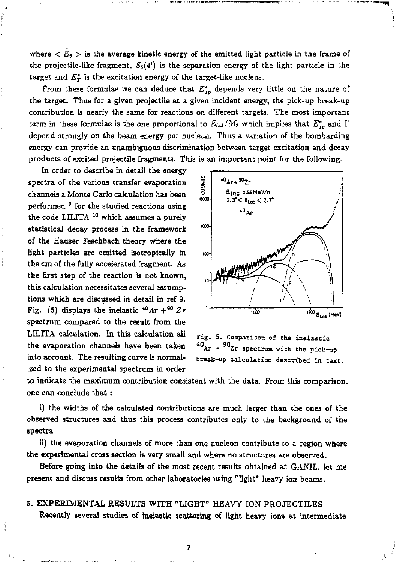where  $\langle E_5 \rangle$  is the average kinetic energy of the emitted light particle in the frame of the projectile-like fragment,  $S_5(4')$  is the separation energy of the light particle in the target and  $E_T^*$  is the excitation energy of the target-like nucleus.

From these formulae we can deduce that  $E_{ap}^*$  depends very little on the nature of the target. Thus for a given projectile at a given incident energy, the pick-up break-up contribution is nearly the same for reactions on different targets. The most important term in these formulae is the one proportional to  $E_{lab}/M_3$  which implies that  $E^*_{ap}$  and  $\Gamma$ depend strongly on the beam energy per nucleon. Thus a variation of the bombarding energy can provide an unambiguous discrimination between target excitation and decay products of excited projectile fragments. This is an important point for the following.

In order to describe in detail the energy spectra of the various transfer evaporation channels a Monte Carlo calculation has been performed <sup>9</sup> for the studied reactions using the code LILITA <sup>10</sup> which assumes a purely statistical decay process in the framework of the Hauser Feschbach theory where the light particles are emitted isotropically in the cm of the fully accelerated fragment. As the first step of the reaction is not known, this calculation necessitates several assumptions which are discussed in detail in ref 9. Fig. (5) displays the inelastic  $^{40}Ar + ^{90}Zr$ spectrum compared to the result from the LILITA calculation. In this calculation all the evaporation channels have been taken into account. The resulting curve is normalized to the experimental spectrum in order



**5. Comparison of the inelastic 90, njr + Zr spectrum vxth the pick-up 40. break-up calculation described in text.** 

to indicate the maximum contribution consistent with the data. From this comparison, one can conclude that :

i) the widths of the calculated contributions are much larger than the ones of the observed structures and thus this process contributes only to the background of the spectra

ii) the evaporation channels of more than one nucleon contribute to a region where the experimental cross section is very small and where no structures are observed.

Before going into the details of the most recent results obtained at GANIL, let me present and discuss results from other laboratories using "light" heavy ion beams.

5. EXPERIMENTAL RESULTS WITH "LIGHT" HEAVY ION PROJECTILES Recently several studies of inelastic scattering of light heavy ions at intermediate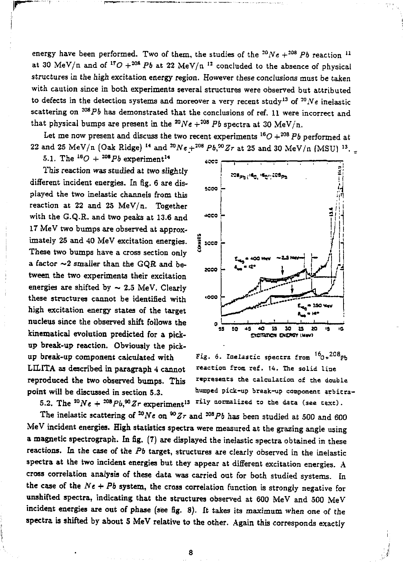energy have been performed. Two of them, the studies of the  $^{20}Ne + ^{208}Pb$  reaction  $^1$ at 30 MeV/n and of <sup>17</sup>O +<sup>208</sup> Pb at 22 MeV/n <sup>12</sup> concluded to the absence of physical structures in the high excitation energy region. However these conclusions must be taken with caution since in both experiments several structures were observed but attributed to defects in the detection systems and moreover a very recent study<sup>13</sup> of <sup>20</sup>*Ne* inelastic scattering on  *20iPb* has demonstrated that the conclusions of ref. 11 were incorrect and that physical bumps are present in the  ${}^{20}Ne + {}^{208}Pb$  spectra at 30 MeV/n.

Let me now present and discuss the two recent experiments  $^{16}O+^{208}Pb$  performed at  $22$  and  $25$  MeV/n (Oak Ridge) <sup>14</sup> and  ${}^{20}Ne+{}^{208}Pb,{}^{90}Zr$  at  $25$  and 30 MeV/n (MSU)  ${}^{13}$ .

5.1. The  $^{16}O + {^{208}Pb}$  experiment<sup>1</sup>

This reaction was studied at two slightly different incident energies. In fig. 6 are displayed the two inelastic channels from this reaction at 22 and 25 MeV/n. Together with the G.Q.R. and two peaks at 13.6 and 17 MeV two bumps are observed at approximately 25 and 40 MeV excitation energies. These two bumps have a cross section only a factor  $\sim$ 2 smaller than the GQR and between the two experiments their excitation energies are shifted by  $\sim 2.5$  MeV. Clearly these structures cannot be identified with high excitation energy states of the target nucleus since the observed shift follows the kinematical evolution predicted for a pickup break-up reaction. Obviously the pickup break-up component calculated with LELITA as described in paragraph 4 cannot reproduced the two observed bumps. This point will be discussed in section 5.3.

5.2. The  ${}^{20}Ne + {}^{208}Pb, {}^{90}Zr$  experiment<sup>13</sup> <sup>rily normalized to the data (see text).</sup>



*%.<sup>a</sup>* Fig. ô. Inelastic spectra from *\*n*  reaction from ref. 14. The solid line represents the calculation of the double humped pick-up break-up component arbitra-

The inelastic scattering of <sup>20</sup>Ne on<sup>80</sup>Zr and <sup>208</sup>Pb has been studied at 500 and 600 MeV incident energies. High statistics spectra were measured at the grazing angle using a magnetic spectrograph. In fig. (7) are displayed the inelastic spectra obtained in these reactions. In the case of the *Pb* target, structures are clearly observed in the inelastic spectra at the two incident energies but they appear at different excitation energies. A cross correlation analysis of these data was carried out for both studied systems. In the case of the  $Ne + Pb$  system, the cross correlation function is strongly negative for unshifted spectra, indicating that the structures observed at 600 MeV and 500 MeV incident energies are out of phase (see fig. 8). It takes its maximum when one of the spectra is shifted by about 5 MeV relative to the other. Again this corresponds exactly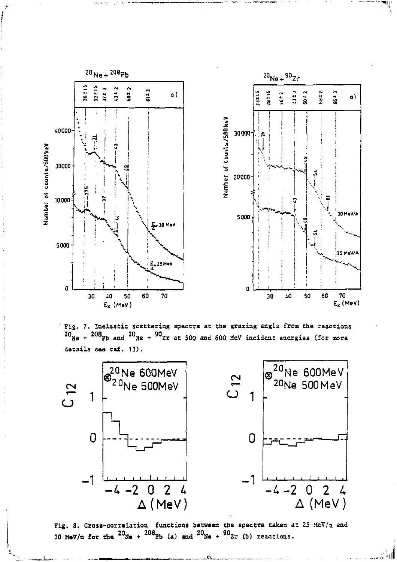

' Fig. 7. Inelastic scattering spectra at the grazing angle from the reactions  $20$ <sub>Ne</sub> +  $208$ <sub>Pb</sub> and  $20$ <sub>Ne</sub> +  $90$ <sub>Zr</sub> at 500 and 600 MeV incident energies (for more details see ref. 13).



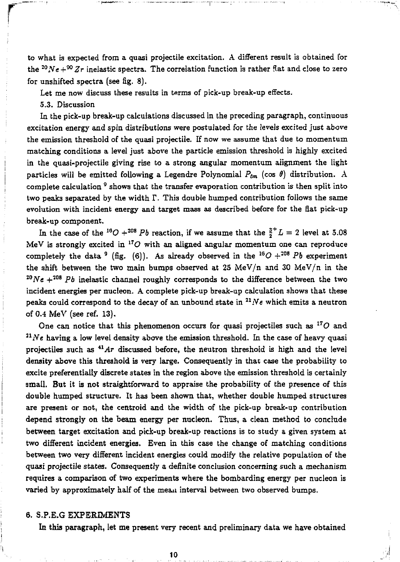to what is expected from a quasi projectile excitation. A different result is obtained for the  $^{20}Ne+^{90}Zr$  inelastic spectra. The correlation function is rather flat and close to zero for unshifted spectra (see fig. 8).

Let me now discuss these results in terms of pick-up break-up effects.

5.3. Discussion

In the pick-up break-up calculations discussed in the preceding paragraph, continuous excitation energy and spin distributions were postulated for the levels excited just above the emission threshold of the quasi projectile. If now we assume that due to momentum matching conditions a level just above the particle emission threshold is highly excited in the quasi-projectile giving rise to a strong angular momentum alignment the light particles will be emitted following a Legendre Polynomial  $P_{\ell m}$  (cos  $\theta$ ) distribution. A complete calculation <sup>9</sup> shows that the transfer evaporation contribution is then split into two peaks separated by the width *T.* This double humped contribution follows the same evolution with incident energy and target mass as described before for the flat pick-up break-up component.

In the case of the <sup>16</sup>O +<sup>208</sup> Pb reaction, if we assume that the  $\frac{3}{2}$ <sup>+</sup> L = 2 level at 5.08 MeV is strongly excited in  ${}^{17}O$  with an aligned angular momentum one can reproduce completely the data <sup>9</sup> (fig. (6)). As already observed in the  $^{16}O + ^{208}Pb$  experiment the shift between the two main bumps observed at 25 MeV/n and 30 MeV/n in the <sup>20</sup>*Ne*  $+^{208}$  *Pb* inelastic channel roughly corresponds to the difference between the two incident energies per nucléon. A complete pick-up break-up calculation shows that these peaks could correspond to the decay of an unbound state in  $^{21}Ne$  which emits a neutron of 0.4 MeV (see ref. 13).

One can notice that this phenomenon occurs for quasi projectiles such as *<sup>17</sup>0* and *<sup>11</sup> Ne* having a low level density above the emission threshold. In the case of heavy quasi projectiles such as <sup>41</sup>Ar discussed before, the neutron threshold is high and the level density above this threshold is very large. Consequently in that case the probability to excite preferentially discrete states in the region above the emission threshold is certainly small. But it is not straightforward to appraise the probability of the presence of this double humped structure. It has been shown that, whether double humped structures are present or not, the centroid and the width of the pick-up break-up contribution depend strongly on the beam energy per nucleon. Thus, a clean method to conclude between target excitation and pick-up break-up reactions is to study a given system at two different incident energies. Even in this case the change of matching conditions between two very different incident energies could modify the relative population of the quasi projectile states. Consequently a definite conclusion concerning such a mechanism requires a comparison of two experiments where the bombarding energy per nucléon is varied by approximately half of the mean interval between two observed bumps.

### 6. S.P.E.G EXPERIMENTS

In this paragraph, let me present very recent and preliminary data we have obtained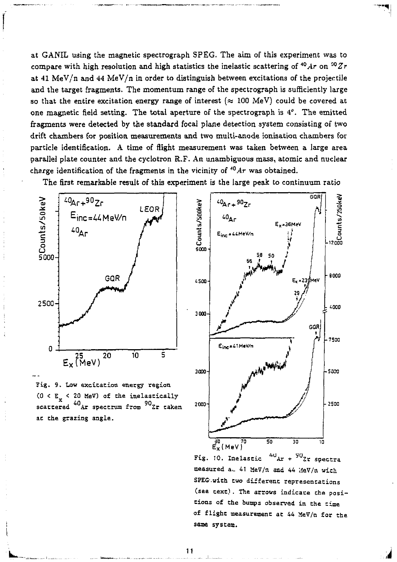at GANIL using the magnetic spectrograph SPEG. The aim of this experiment was to compare with high resolution and high statistics the inelastic scattering of  $^{40}Ar$  on  $^{90}Zr$ at 41 MeV/n and 44 MeV/n in order to distinguish between excitations of the projectile and the target fragments. The momentum range of the spectrograph is sufficiently large so that the entire excitation energy range of interest  $(\approx 100 \text{ MeV})$  could be covered at one magnetic field setting. The total aperture of the spectrograph is 4°. The emitted fragments were detected by the standard focal plane detection system consisting of two drift chambers for position measurements and two multi-anode ionisation chambers for particle identification. A time of flight measurement was taken between a large area parallel plate counter and the cyclotron R.F. An unambiguous mass, atomic and nuclear charge identification of the fragments in the vicinity of *<sup>40</sup>Ar* was obtained.

The first remarkable result of this experiment is the large peak to continuum ratio



Fig. 9. Low excitation energy region  $(0 < E$  < 20 MeV) of the inelastically scattered <sup>40</sup>Ar spectrum from <sup>90</sup>Zr taken at the grazing angle.



 $^{40}$  Ar +  $^{90}$  Zr spectra Fig. 10. Inelastic measured a. 41 MeV/n and 44 MeV/n wich SPEG.with two different representations (see text). The arrows indicate che positions of che bumps observed in the time of flight measurement at 44 MeV/n for the same system.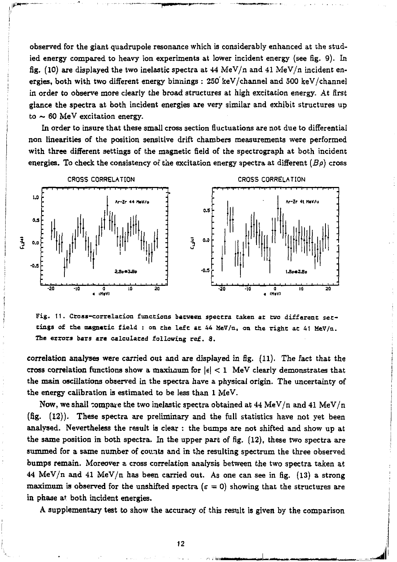observed for the giant quadrupole resonance which is considerably enhanced at the studied energy compared to heavy ion experiments at lower incident energy (see fig. 9). In fig. (10) are displayed the two inelastic spectra at  $44$  MeV/n and  $41$  MeV/n incident energies, both with two different energy burnings : 250 keV/channel and 500 keV/channel in order to observe more clearly the broad structures at high excitation energy. At first glance the spectra at both incident energies are very similar and exhibit structures up to  $\sim$  60 MeV excitation energy.

In order to insure that these small cross section fluctuations are not due to differential non linearities of the position sensitive drift chambers measurements were performed with three different settings of the magnetic field of the spectrograph at both incident energies. To check the consistency of the excitation energy spectra at different  $(B\rho)$  cross



Fig. 11. Cross-correlacion functions between spectra taken at two different settings of the magnetic field : on the left at 44 HeV/n, on the right at 41 MeV/n. The errors bars are calculated following ref. 8.

correlation analyses were carried out and are displayed in fig. (11). The fact that the cross correlation functions show a maximum for  $|\epsilon| < 1$  MeV clearly demonstrates that the main oscillations observed in the spectra have a physical origin. The uncertainty of the energy calibration is estimated to be less than 1 MeV.

Now, we shall compare the two inelastic spectra obtained at  $44$  MeV/n and  $41$  MeV/n (fig. (12)). These spectra are preliminary and the full statistics have not yet been analysed. Nevertheless the result is clear : the bumps are not shifted and show up at the same position in both spectra. In the upper part of fig. (12), these two spectra are summed for a same number of counts and in the resulting spectrum the three observed bumps remain. Moreover a cross correlation analysis between the two spectra taken at 44 MeV/n and 41 MeV/n has been carried out. As one can see in fig.  $(13)$  a strong maximum is observed for the unshifted spectra ( $\varepsilon = 0$ ) showing that the structures are in phase at both incident energies.

A supplementary test to show the accuracy of this result is given by the comparison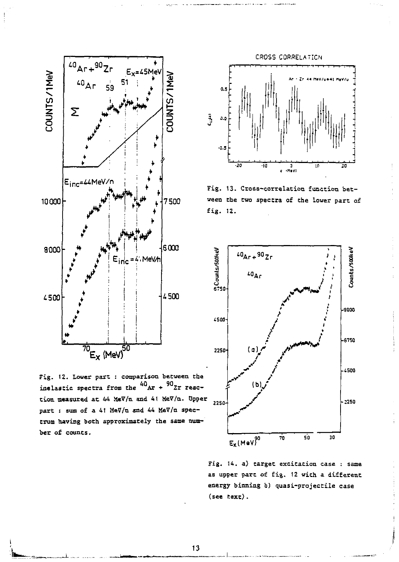

Fig. 12. Lower part : comparison between the inelastic spectra from the  $^{40}$ Ar +  $^{90}$ Zr reaction measured at 44 MeV/n and 41 MeV/n. Upper part : sum of a 41 MeV/u and 44 MeV/u spectrum having both approximately the same number of counts.



Fig. 13. Cross-correlation function between the two spectra of the lower part of fig. 12.



Fig. 14. a) target excitation case : same as upper part of fig. 12 with a different energy binning b) quasi-projectile case  $(see text).$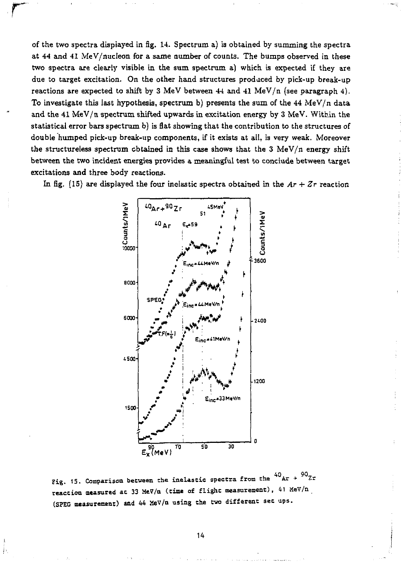of the two spectra displayed in fig. 14. Spectrum a) is obtained by summing the spectra at 44 and 41 MeV/nucleon for a same number of counts. The bumps observed in these two spectra are clearly visible in the sum spectrum a) which is expected if they are due to target excitation. On the other hand structures produced by pick-up break-up reactions are expected to shift by 3 MeV between 44 and 41 MeV/n (see paragraph 4). To investigate this last hypothesis, spectrum b) presents the sum of the  $44 \text{ MeV}/n$  data and the 41 MeV/n spectrum shifted upwards in excitation energy by 3 MeV. Within the statistical error bars spectrum  $b$ ) is flat showing that the contribution to the structures of double humped pick-up break-up components, if it exists at all, is very weak. Moreover the structureless spectrum obtained in this case shows that the  $3$  MeV/n energy shift between the two incident energies provides a meaningful test to conclude between target excitations and three body reactions.



In fig. (15) are displayed the four inclustic spectra obtained in the  $Ar + Zr$  reaction



Þ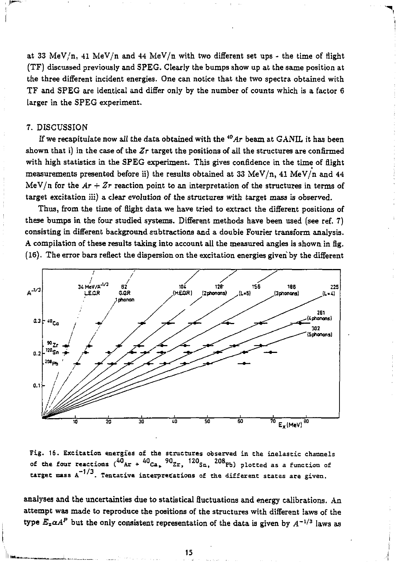at 33 MeV/n, 41 MeV/n and 44 MeV/n with two different set ups - the time of flight (TF) discussed previously and SPEG. Clearly the bumps show up at the same position at the three different incident energies. One can notice that the two spectra obtained with TF and SPEG are identical and differ only by the number of counts which is a factor 6 larger in the SPEG experiment.

### 7. DISCUSSION

If we recapitulate now all the data obtained with the  *i0Ar* beam at GANIL it has been shown that i) in the case of the *Zr* target the positions of all the structures are confirmed with high statistics in the SPEG experiment. This gives confidence in the time of flight measurements presented before ii) the results obtained at 33 MeV/n, 41 MeV/n and 44 MeV/n for the  $Ar + Zr$  reaction point to an interpretation of the structures in terms of target excitation iii) a clear evolution of the structures with target mass is observed.

Thus, from the time of flight data we have tried to extract the different positions of these bumps in the four studied systems. Different methods have been used (see ref. 7) consisting in different background subtractions and a double Fourier transform analysis. A compilation of these results taking into account all the measured angles is shown in fig. (16). The error bars reflect the dispersion on the excitation energies given by the different



Fig. 16. Excitation energies of the structures observed in the inelastic channels of the four reactions  $(^{40}$ Ar +  $^{40}$ Ca,  $^{90}$ Zr,  $^{120}$ Sn,  $^{208}$ Pb) plotted as a function of target mass A **•1/3** Tentative interpretations of the different states are given.

analyses and the uncertainties due to statistical fluctuations and energy calibrations. An attempt was made to reproduce the positions of the structures with different laws of the type  $E_x \alpha A^P$  but the only consistent representation of the data is given by  $A^{-1/3}$  laws as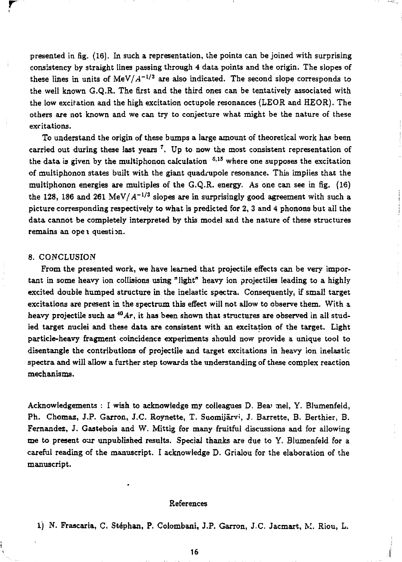presented in fig. (16). In such a representation, the points can be joined with surprising consistency by straight lines passing through 4 data points and the origin. The slopes of these lines in units of  $MeV/A^{-1/3}$  are also indicated. The second slope corresponds to the well known G.Q.R. The first and the third ones can be tentatively associated with the low excitation and the high excitation octupole resonances (LEOR and HEOR). The others are not known and we can try to conjecture what might be the nature of these excitations.

To understand the origin of these bumps a large amount of theoretical work has been carried out during these last years  $^7$ . Up to now the most consistent representation of the data is given by the multiphonon calculation <sup>6,15</sup> where one supposes the excitation of multiphonon states built with the giant quadrupole resonance. This implies that the multiphonon energies are multiples of the  $G.Q.R.$  energy. As one can see in fig.  $(16)$ the 128, 186 and 261 MeV/ $A^{-1/3}$  slopes are in surprisingly good agreement with such a picture corresponding respectively to what is predicted for 2, 3 and 4 phonons but all the data cannot be completely interpreted by this model and the nature of these structures remains an open question.

#### 8. CONCLUSION

**r** 

From the presented work, we have learned that projectile effects can be very important in some heavy ion collisions using "light" heavy ion projectiles leading to a highly excited double humped structure in the inelastic spectra. Consequently, if small target excitations are present in the spectrum this effect will not allow to observe them. With a heavy projectile such as *\*°Ar,* it has been shown that structures are observed in all studied target nuclei and these data are consistent with an excitation of the target. Light particle-heavy fragment coincidence experiments should now provide a unique toot to disentangle the contributions of projectile and target excitations in heavy ion inelastic spectra and will allow a further step towards the understanding of these complex reaction mechanisms.

Acknowledgements : I wish to acknowledge my colleagues D. Beai mel, Y. Blumenfeld, Ph. Chomaz, J.P. Garron, J.C. Roynette, T. Suomijârvi, J. Barrette, B. Berthier, B. Fernandez, J. Gastebois and W. Mittig for many fruitful discussions and for allowing me to present our unpublished results. Special thanks are due to Y. Blumenfeld for a careful reading of the manuscript. I acknowledge D. Grialou for the elaboration of the manuscript.

#### References

1) N. Frascaria, C. Stéphan, P. Colombani, J.P. Garron, J.C. Jacmart, M. Riou, L.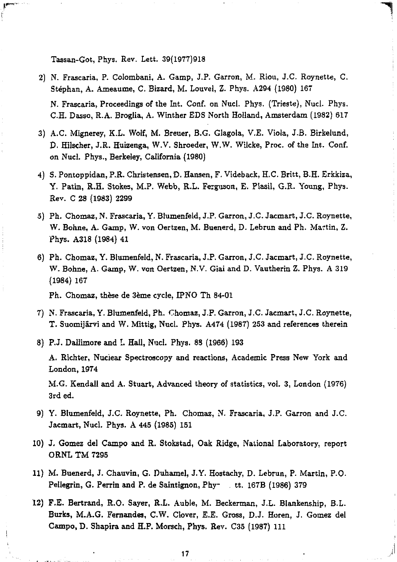Tassan-Got, Phys. Rev. Lett. 39(1977)918

- 2) N. Frascaria, P. Colombani, A. Gamp, J.P. Garron, M. Riou, J.C. Roynette, C. Stéphan, A. Ameaume, C. Bizard, M. Louvel, Z. Phys. A294 (1980) 167 N. Frascaria, Proceedings of the Int. Conf. on Nucl. Phys. (Trieste), Nucl. Phys. C.H. Dasso, R.A. Brogiia, A. Winther EDS North Holland, Amsterdam (1982) 617
- 3) A.C. Mignerey, K.L. Wolf, M. Breuer, B.G. Glagola, V.E. Viola, J.B. Birkelund, D. Hilscher, J.R. Huizenga, W.V. Shroeder, W.W. Wilcke, Proc. of the Int. Conf. on Nucl. Phys., Berkeley, California (1980)
- 4) S. Pontoppidan, P.R. Christensen, D. Hansen, F. Videback, H.C. Britt, B.H. Erkkiza, Y. Patin, R.H. Stokes, M.P. Webb, R.L. Ferguson, E. Plasil, G.R. Young, Phys. Rev. C 28 (1983) 2299
- 5) Ph. Chomaz, N. Frascaria, Y. Blumenfeld, J.P. Garron, J.C. Jacmart, J.C. Roynette, W. Bonne, A. Gamp, W. von Oertzen, M. Buenerd, D. Lebrun and Ph. Martin, Z. Phys. A318 (1984) 41
- 6) Ph. Chomaz, Y. Blumenfeld, N. Frascaria, J.P. Garron, J.C. Jacmart, J.C. Roynette, W. Bonne, A. Gamp, W. von Oertzen, N.V. Giai and D. Vautherin Z. Phys. A 319 (1984) 167

Ph. Chomaz, thèse de 3ème cycle, JPNO Th 84-01

7) N. Frascaria, Y. Blumenfeld, Ph. Chomaz, J.P. Garron, J.C. Jacmart, J.C. Roynette, T. Suomijârvi and W. Mittig, Nucl. Phys. A474 (1987) 253 and references therein

8) P.J. Dallimore and I. Hall, Nucl. Phys. 88 (1966) 193

A. Richter, Nuciear Spectroscopy and reactions, Academic Press New York and London,1974

M.G. Kendall and A. Stuart, Advanced theory of statistics, vol. 3, London (1976) 3rd ed.

- 9) Y. Blumenfeld, J.C. Roynette, Ph. Chomaz, N. Frascaria, J.P. Garron and J.C. Jacmart, Nucl. Phys. A 445 (1985) 151
- 10) J. Gomez del Campo and R. Stokstad, Oak Ridge, National Laboratory, report ORNL TM 7295
- 11) M. Buenerd, J. Chauvin, G. Duhamel, J.Y. Hostachy, D. Lebrun, P. Martin, P.O. Pellegrin, G. Perrin and P. de Saintignon, Phy<sup>-</sup> tt. 167B (1986) 379
- 12) F.E. Bertrand, R.O. Sayer, R.L. Auble, M. Beckerman, J.L. Blankenship, B.L. Burks, M.A.G. Fernandes, C.W. Clover, E.E. Gross, D.J. Horen, J. Gomez del Campo, D. Shapira and H.P. Morsch, Phys. Rev. C35 (1987) 111